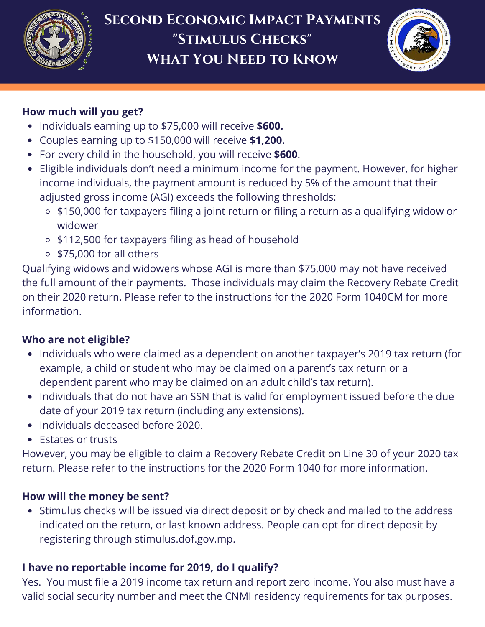



### **How much will you get?**

- Individuals earning up to \$75,000 will receive **\$600.**
- Couples earning up to \$150,000 will receive **\$1,200.**
- For every child in the household, you will receive **\$600**.
- Eligible individuals don't need a minimum income for the payment. However, for higher income individuals, the payment amount is reduced by 5% of the amount that their adjusted gross income (AGI) exceeds the following thresholds:
	- \$150,000 for taxpayers filing a joint return or filing a return as a qualifying widow or widower
	- \$112,500 for taxpayers filing as head of household
	- \$75,000 for all others

Qualifying widows and widowers whose AGI is more than \$75,000 may not have received the full amount of their payments. Those individuals may claim the Recovery Rebate Credit on their 2020 return. Please refer to the instructions for the 2020 Form 1040CM for more information.

## **Who are not eligible?**

- Individuals who were claimed as a dependent on another taxpayer's 2019 tax return (for example, a child or student who may be claimed on a parent's tax return or a dependent parent who may be claimed on an adult child's tax return).
- Individuals that do not have an SSN that is valid for employment issued before the due date of your 2019 tax return (including any extensions).
- Individuals deceased before 2020.
- Estates or trusts

However, you may be eligible to claim a Recovery Rebate Credit on Line 30 of your 2020 tax return. Please refer to the instructions for the 2020 Form 1040 for more information.

## **How will the money be sent?**

Stimulus checks will be issued via direct deposit or by check and mailed to the address indicated on the return, or last known address. People can opt for direct deposit by registering through stimulus.dof.gov.mp.

# **I have no reportable income for 2019, do I qualify?**

Yes. You must file a 2019 income tax return and report zero income. You also must have a valid social security number and meet the CNMI residency requirements for tax purposes.